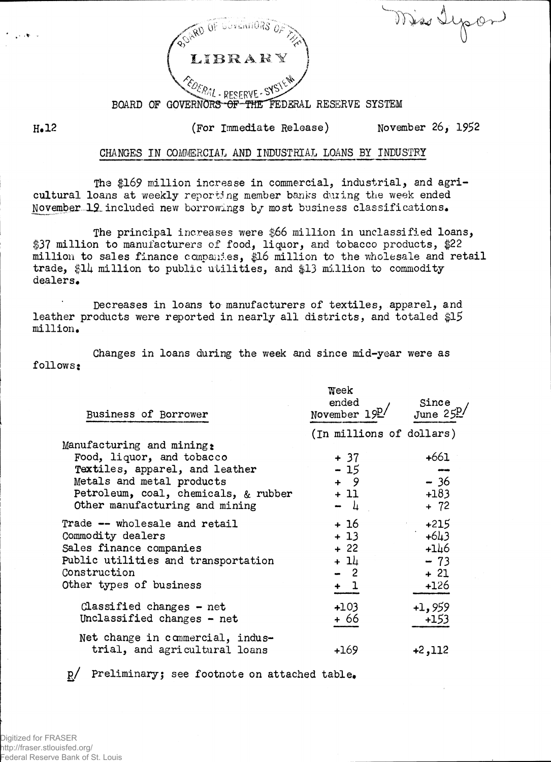$N$  is depond



**BOARD OF G0VERN0R3-ep-THE FEDERAL RESERVE SYSTEM**

**(For Immediate Release) November 26, 1952**

**H.12** 

## **CHANGES I N COMMERCIAL AND INDUSTRIAL LOANS BY INDUSTRY**

**The \$169 million increase in commercial, industrial, and agricultural loans at weekly reporting member banks dining the week ended November-12.included new borrowings b/ most business classifications.**

**The principal increases were \$66 million in unclassified loans, \$37 million to manufacturers of food, liquor, and tobacco products, \$22 million to sale s finance companies, \$16 million to the wholesale and retai l trade, \$11+ million to public utilities, and \$13 million to commodity dealers.** 

**Decreases in loans t o manufacturers of textiles, apparel, and leather products were reported i n nearly a l l districts, and totaled \$15 million.** 

**follows; Changes in loans during the week and since mid-year were as**

| Business of Borrower                                                                                                                                                                            | Week<br>ended<br>November $19^{\underline{p}}/$                      | Since<br>June $25\frac{D}{2}$                          |  |  |
|-------------------------------------------------------------------------------------------------------------------------------------------------------------------------------------------------|----------------------------------------------------------------------|--------------------------------------------------------|--|--|
| Manufacturing and mining:<br>Food, liquor, and tobacco<br>Textiles, apparel, and leather<br>Metals and metal products<br>Petroleum, coal, chemicals, & rubber<br>Other manufacturing and mining | (In millions of dollars)<br>$+37$<br>$-15$<br>$+ 9$<br>+ 11<br>$- 4$ | $+661$<br>$-36$<br>$+183$<br>$+ 72$                    |  |  |
| Trade -- wholesale and retail<br>Commodity dealers<br>Sales finance companies<br>Public utilities and transportation<br>Construction<br>Other types of business                                 | + 16<br>+ 13<br>$+22$<br>+ 14<br>- 2<br>$+1$                         | $+215$<br>$+643$<br>$+146$<br>$-73$<br>$+21$<br>$+126$ |  |  |
| Classified changes $-$ net<br>Unclassified changes - net<br>Net change in commercial, indus-<br>trial, and agricultural loans                                                                   | $+103$<br>+ 66<br>$+169$                                             | $+1,959$<br>$+153$<br>$+2,112$                         |  |  |
|                                                                                                                                                                                                 |                                                                      |                                                        |  |  |

**g / Preliminary; see footnote on attached table\***